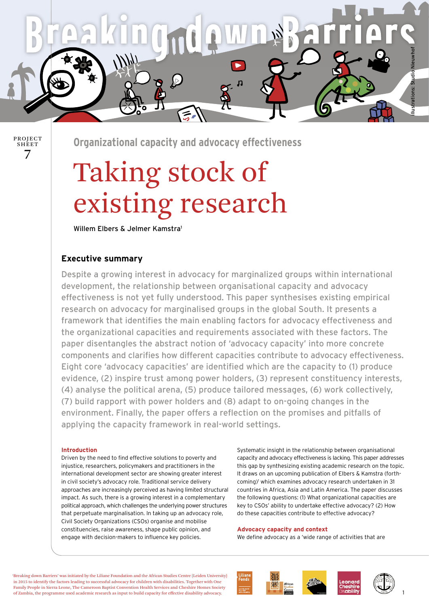**Organizational capacity and advocacy effectiveness** 

 $\leq$ 

# Taking stock of existing research

Willem Elbers & Jelmer Kamstra<sup>1</sup>

### **Executive summary**

7

PROJECT SHEET

> Despite a growing interest in advocacy for marginalized groups within international development, the relationship between organisational capacity and advocacy effectiveness is not yet fully understood. This paper synthesises existing empirical research on advocacy for marginalised groups in the global South. It presents a framework that identifies the main enabling factors for advocacy effectiveness and the organizational capacities and requirements associated with these factors. The paper disentangles the abstract notion of 'advocacy capacity' into more concrete components and clarifies how different capacities contribute to advocacy effectiveness. Eight core 'advocacy capacities' are identified which are the capacity to (1) produce evidence, (2) inspire trust among power holders, (3) represent constituency interests, (4) analyse the political arena, (5) produce tailored messages, (6) work collectively, (7) build rapport with power holders and (8) adapt to on-going changes in the environment. Finally, the paper offers a reflection on the promises and pitfalls of applying the capacity framework in real-world settings.

#### **Introduction**

Driven by the need to find effective solutions to poverty and injustice, researchers, policymakers and practitioners in the international development sector are showing greater interest in civil society's advocacy role. Traditional service delivery approaches are increasingly perceived as having limited structural impact. As such, there is a growing interest in a complementary political approach, which challenges the underlying power structures that perpetuate marginalisation. In taking up an advocacy role, Civil Society Organizations (CSOs) organise and mobilise constituencies, raise awareness, shape public opinion, and engage with decision-makers to influence key policies.

Systematic insight in the relationship between organisational capacity and advocacy effectiveness is lacking. This paper addresses this gap by synthesizing existing academic research on the topic. It draws on an upcoming publication of Elbers & Kamstra (forthcoming)<sup>1</sup> which examines advocacy research undertaken in 31 countries in Africa, Asia and Latin America. The paper discusses the following questions: (1) What organizational capacities are key to CSOs' ability to undertake effective advocacy? (2) How do these capacities contribute to effective advocacy?

#### **Advocacy capacity and context**

We define advocacy as a 'wide range of activities that are

'Breaking down Barriers' was initiated by the Liliane Foundation and the African Studies Centre (Leiden University) in 2015 to identify the factors leading to successful advocacy for children with disabilities. Together with One Family People in Sierra Leone, The Cameroon Baptist Convention Health Services and Cheshire Homes Society of Zambia, the programme used academic research as input to build capacity for effective disability advocacy.







illustrations: Studio NieuwhofStudio Ni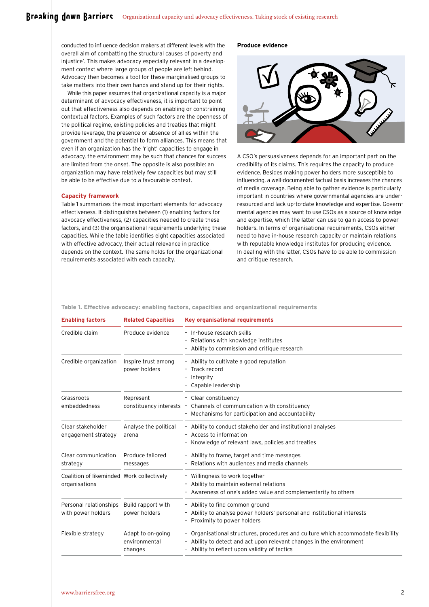## Broaking down Barriors organizational capacity and advocacy effectiveness. Taking stock of existing research

conducted to influence decision makers at different levels with the overall aim of combatting the structural causes of poverty and injustice'. This makes advocacy especially relevant in a development context where large groups of people are left behind. Advocacy then becomes a tool for these marginalised groups to take matters into their own hands and stand up for their rights.

While this paper assumes that organizational capacity is a major determinant of advocacy effectiveness, it is important to point out that effectiveness also depends on enabling or constraining contextual factors. Examples of such factors are the openness of the political regime, existing policies and treaties that might provide leverage, the presence or absence of allies within the government and the potential to form alliances. This means that even if an organization has the 'right' capacities to engage in advocacy, the environment may be such that chances for success are limited from the onset. The opposite is also possible: an organization may have relatively few capacities but may still be able to be effective due to a favourable context.

#### **Capacity framework**

Table 1 summarizes the most important elements for advocacy effectiveness. It distinguishes between (1) enabling factors for advocacy effectiveness, (2) capacities needed to create these factors, and (3) the organisational requirements underlying these capacities. While the table identifies eight capacities associated with effective advocacy, their actual relevance in practice depends on the context. The same holds for the organizational requirements associated with each capacity.

#### **Produce evidence**



A CSO's persuasiveness depends for an important part on the credibility of its claims. This requires the capacity to produce evidence. Besides making power holders more susceptible to influencing, a well-documented factual basis increases the chances of media coverage. Being able to gather evidence is particularly important in countries where governmental agencies are underresourced and lack up-to-date knowledge and expertise. Governmental agencies may want to use CSOs as a source of knowledge and expertise, which the latter can use to gain access to power holders. In terms of organisational requirements, CSOs either need to have in-house research capacity or maintain relations with reputable knowledge institutes for producing evidence. In dealing with the latter, CSOs have to be able to commission and critique research.

**Table 1. Effective advocacy: enabling factors, capacities and organizational requirements**

| <b>Related Capacities</b>                     | <b>Key organisational requirements</b>                                                                                                                                                                   |
|-----------------------------------------------|----------------------------------------------------------------------------------------------------------------------------------------------------------------------------------------------------------|
| Produce evidence                              | - In-house research skills<br>- Relations with knowledge institutes<br>Ability to commission and critique research                                                                                       |
| Inspire trust among<br>power holders          | - Ability to cultivate a good reputation<br>- Track record<br>Integrity<br>- Capable leadership                                                                                                          |
| Represent                                     | - Clear constituency<br>constituency interests - Channels of communication with constituency<br>- Mechanisms for participation and accountability                                                        |
| Analyse the political<br>arena                | - Ability to conduct stakeholder and institutional analyses<br>- Access to information<br>Knowledge of relevant laws, policies and treaties                                                              |
| Produce tailored<br>messages                  | - Ability to frame, target and time messages<br>Relations with audiences and media channels                                                                                                              |
| Coalition of likeminded Work collectively     | - Willingness to work together<br>- Ability to maintain external relations<br>- Awareness of one's added value and complementarity to others                                                             |
| Build rapport with<br>power holders           | - Ability to find common ground<br>- Ability to analyse power holders' personal and institutional interests<br>- Proximity to power holders                                                              |
| Adapt to on-going<br>environmental<br>changes | - Organisational structures, procedures and culture which accommodate flexibility<br>- Ability to detect and act upon relevant changes in the environment<br>Ability to reflect upon validity of tactics |
|                                               |                                                                                                                                                                                                          |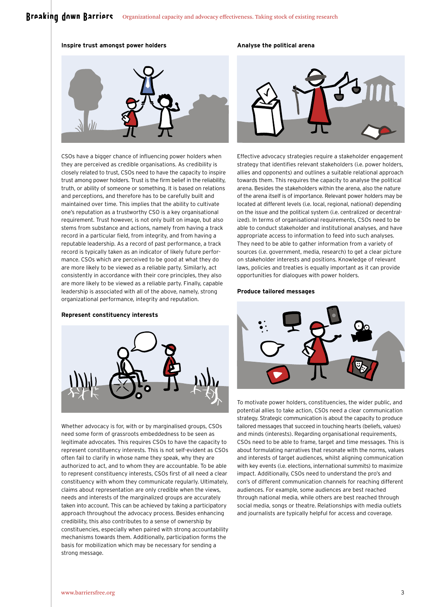#### **Inspire trust amongst power holders**



CSOs have a bigger chance of influencing power holders when they are perceived as credible organisations. As credibility is closely related to trust, CSOs need to have the capacity to inspire trust among power holders. Trust is the firm belief in the reliability, truth, or ability of someone or something. It is based on relations and perceptions, and therefore has to be carefully built and maintained over time. This implies that the ability to cultivate one's reputation as a trustworthy CSO is a key organisational requirement. Trust however, is not only built on image, but also stems from substance and actions, namely from having a track record in a particular field, from integrity, and from having a reputable leadership. As a record of past performance, a track record is typically taken as an indicator of likely future performance. CSOs which are perceived to be good at what they do are more likely to be viewed as a reliable party. Similarly, act consistently in accordance with their core principles, they also are more likely to be viewed as a reliable party. Finally, capable leadership is associated with all of the above, namely, strong organizational performance, integrity and reputation.

#### **Represent constituency interests**



Whether advocacy is for, with or by marginalised groups, CSOs need some form of grassroots embeddedness to be seen as legitimate advocates. This requires CSOs to have the capacity to represent constituency interests. This is not self-evident as CSOs often fail to clarify in whose name they speak, why they are authorized to act, and to whom they are accountable. To be able to represent constituency interests, CSOs first of all need a clear constituency with whom they communicate regularly. Ultimately, claims about representation are only credible when the views, needs and interests of the marginalized groups are accurately taken into account. This can be achieved by taking a participatory approach throughout the advocacy process. Besides enhancing credibility, this also contributes to a sense of ownership by constituencies, especially when paired with strong accountability mechanisms towards them. Additionally, participation forms the basis for mobilization which may be necessary for sending a strong message.

#### **Analyse the political arena**



Effective advocacy strategies require a stakeholder engagement strategy that identifies relevant stakeholders (i.e. power holders, allies and opponents) and outlines a suitable relational approach towards them. This requires the capacity to analyse the political arena. Besides the stakeholders within the arena, also the nature of the arena itself is of importance. Relevant power holders may be located at different levels (i.e. local, regional, national) depending on the issue and the political system (i.e. centralized or decentralized). In terms of organisational requirements, CSOs need to be able to conduct stakeholder and institutional analyses, and have appropriate access to information to feed into such analyses. They need to be able to gather information from a variety of sources (i.e. government, media, research) to get a clear picture on stakeholder interests and positions. Knowledge of relevant laws, policies and treaties is equally important as it can provide opportunities for dialogues with power holders.

#### **Produce tailored messages**



To motivate power holders, constituencies, the wider public, and potential allies to take action, CSOs need a clear communication strategy. Strategic communication is about the capacity to produce tailored messages that succeed in touching hearts (beliefs, values) and minds (interests). Regarding organisational requirements, CSOs need to be able to frame, target and time messages. This is about formulating narratives that resonate with the norms, values and interests of target audiences, whilst aligning communication with key events (i.e. elections, international summits) to maximize impact. Additionally, CSOs need to understand the pro's and con's of different communication channels for reaching different audiences. For example, some audiences are best reached through national media, while others are best reached through social media, songs or theatre. Relationships with media outlets and journalists are typically helpful for access and coverage.